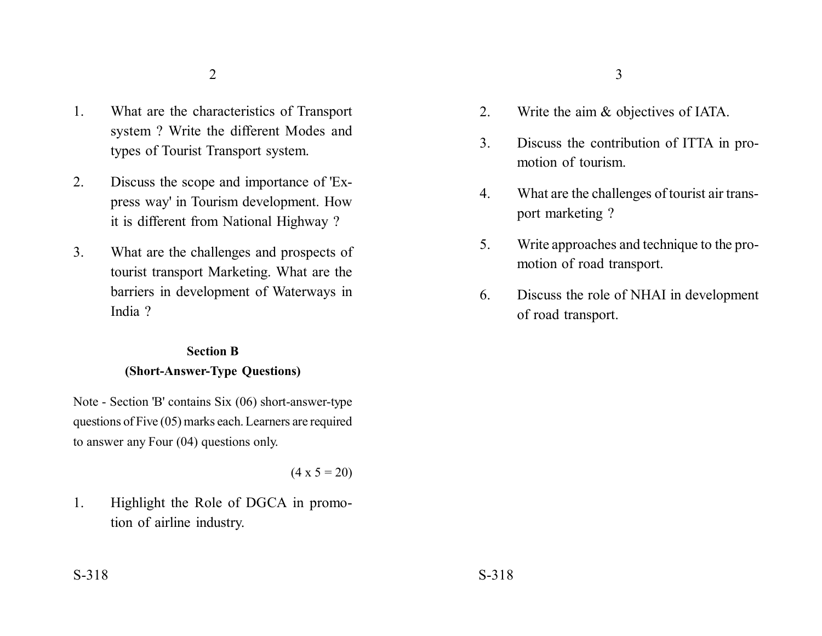- 1. What are the characteristics of Transport system ? Write the different Modes and types of Tourist Transport system.
- 2. Discuss the scope and importance of 'Express way' in Tourism development. How it is different from National Highway ?
- 3. What are the challenges and prospects of tourist transport Marketing. What are the barriers in development of Waterways in India ?

## **Section B (Short-Answer-Type Questions)**

Note - Section 'B' contains Six (06) short-answer-type questions of Five (05) marks each. Learners are required to answer any Four (04) questions only.

 $(4 \times 5 = 20)$ 

1. Highlight the Role of DGCA in promotion of airline industry.

- 2. Write the aim & objectives of IATA.
- 3. Discuss the contribution of ITTA in promotion of tourism.
- 4. What are the challenges of tourist air transport marketing ?
- 5. Write approaches and technique to the promotion of road transport.
- 6. Discuss the role of NHAI in development of road transport.